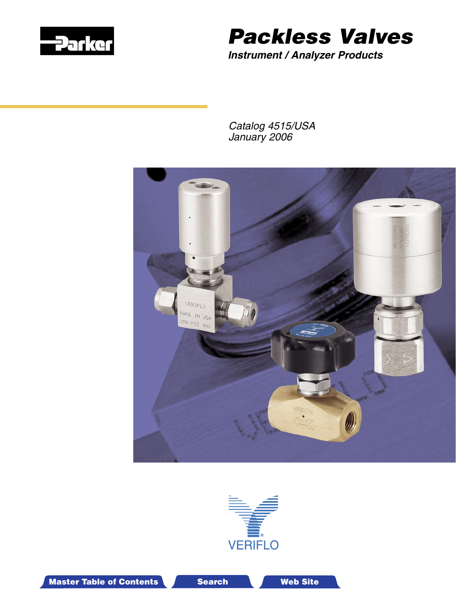

# Packless Valves

**Instrument / Analyzer Products**

Catalog 4515/USA January 2006





Master Table of Contents **Search Master Table of Contents 3-D Drawing Search Master T Web Site**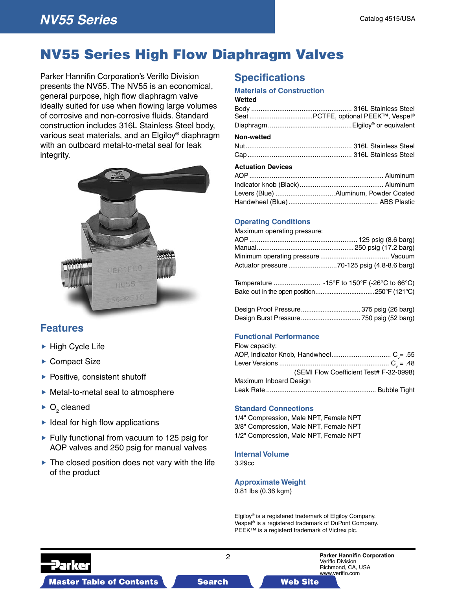## NV55 Series High Flow Diaphragm Valves

Parker Hannifin Corporation's Veriflo Division presents the NV55. The NV55 is an economical, general purpose, high flow diaphragm valve ideally suited for use when flowing large volumes of corrosive and non-corrosive fluids. Standard construction includes 316L Stainless Steel body, various seat materials, and an Elgiloy® diaphragm with an outboard metal-to-metal seal for leak integrity.



### **Features**

- $\blacktriangleright$  High Cycle Life
- ▶ Compact Size
- $\blacktriangleright$  Positive, consistent shutoff
- Metal-to-metal seal to atmosphere
- $\triangleright$  O<sub>2</sub> cleaned
- $\blacktriangleright$  Ideal for high flow applications
- $\blacktriangleright$  Fully functional from vacuum to 125 psig for AOP valves and 250 psig for manual valves
- $\blacktriangleright$  The closed position does not vary with the life of the product

### **Specifications**

#### **Materials of Construction**

### **Wetted**

#### **Non-wetted**

#### **Actuation Devices**

#### **Operating Conditions**

Maximum operating pressure:

#### **Functional Performance**

| (SEMI Flow Coefficient Test# F-32-0998) |
|-----------------------------------------|
|                                         |
|                                         |
|                                         |

#### **Standard Connections**

1/4" Compression, Male NPT, Female NPT 3/8" Compression, Male NPT, Female NPT 1/2" Compression, Male NPT, Female NPT

#### **Internal Volume**

3.29cc

#### **Approximate Weight**

0.81 lbs (0.36 kgm)

Elgiloy® is a registered trademark of Elgiloy Company. Vespel® is a registered trademark of DuPont Company. PEEK<sup>™</sup> is a registerd trademark of Victrex plc.

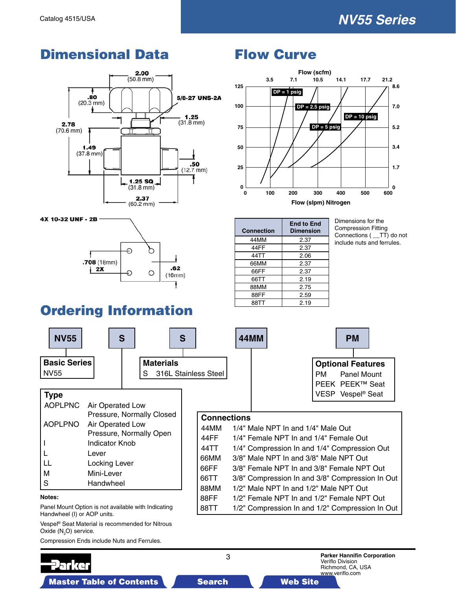## **Dimensional Data** Flow Curve



 $.62$ 

 $(16mm)$ 



| <b>Connection</b> | <b>End to End</b><br><b>Dimension</b> |
|-------------------|---------------------------------------|
| 44MM              | 2.37                                  |
| 44FF              | 2.37                                  |
| 44TT              | 2.06                                  |
| 66MM              | 2.37                                  |
| 66FF              | 2.37                                  |
| 66TT              | 2.19                                  |
| 88MM              | 2.75                                  |
| 88FF              | 2.59                                  |
| 88TT              | 2.19                                  |

Dimensions for the Compression Fitting Connections ( \_\_TT) do not include nuts and ferrules.

## Ordering Information

€

O

 $2X$ 

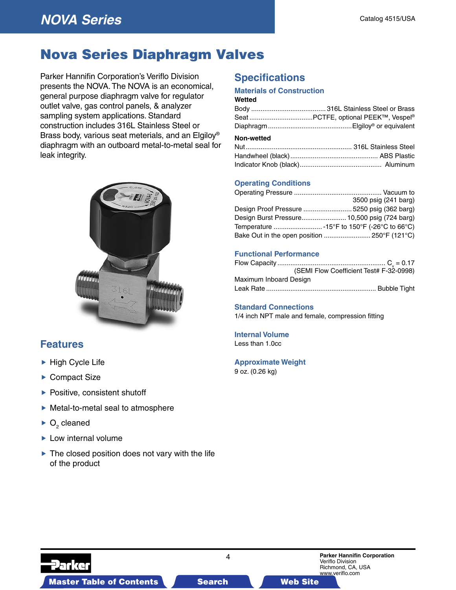### Nova Series Diaphragm Valves

Parker Hannifin Corporation's Veriflo Division presents the NOVA. The NOVA is an economical, general purpose diaphragm valve for regulator outlet valve, gas control panels, & analyzer sampling system applications. Standard construction includes 316L Stainless Steel or Brass body, various seat meterials, and an Elgiloy® diaphragm with an outboard metal-to-metal seal for leak integrity.



### **Features**

- ▶ High Cycle Life
- ▶ Compact Size
- $\blacktriangleright$  Positive, consistent shutoff
- Metal-to-metal seal to atmosphere
- $\triangleright$  O<sub>2</sub> cleaned
- $\blacktriangleright$  Low internal volume
- $\blacktriangleright$  The closed position does not vary with the life of the product

### **Specifications**

### **Materials of Construction**

**Wetted**

#### **Non-wetted**

#### **Operating Conditions**

| 3500 psig (241 barg)                         |
|----------------------------------------------|
| Design Proof Pressure  5250 psig (362 barg)  |
| Design Burst Pressure 10,500 psig (724 barg) |
| Temperature  -15°F to 150°F (-26°C to 66°C)  |
| Bake Out in the open position  250°F (121°C) |
|                                              |

#### **Functional Performance**

|                        | (SEMI Flow Coefficient Test# F-32-0998) |
|------------------------|-----------------------------------------|
| Maximum Inboard Design |                                         |
|                        |                                         |

#### **Standard Connections**

1/4 inch NPT male and female, compression fitting

#### **Internal Volume** Less than 1.0cc

#### **Approximate Weight**

9 oz. (0.26 kg)

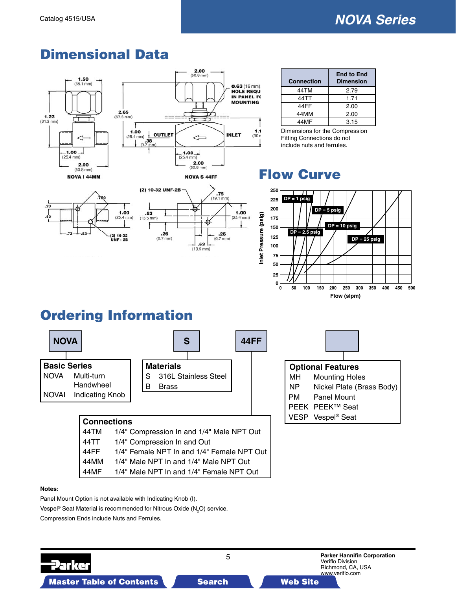

O



₩

₫

 $.53$  $(13.5 \text{ mm})$ 

(2) 10-32 UNF-2B

 $.26$ <br>(6.7 mm)

 $.53$ <br>(13.5 mm)

Ŧ

| <b>Connection</b> | <b>End to End</b><br><b>Dimension</b> |
|-------------------|---------------------------------------|
| 44TM              | 2.79                                  |
| 44TT              | 1.71                                  |
| 44FF              | 2.00                                  |
| 44MM              | 2.00                                  |
| 44MF              | 3.15                                  |

Dimensions for the Compression Fitting Connections do not include nuts and ferrules.

### Flow Curve



## Ordering Information

 $1.00$ 

 $(25.4 \text{ mm})$ 

 $(2) 10-32$ 



 $.75$  $(19.1)$ 

.26

 $(6.7$  mm)

 $1.00$ 

 $(25.4 \text{ m})$ 

#### **Notes:**

Panel Mount Option is not available with Indicating Knob (I). Vespel® Seat Material is recommended for Nitrous Oxide (N<sub>2</sub>O) service. Compression Ends include Nuts and Ferrules.

44FF 1/4" Female NPT In and 1/4" Female NPT Out 44MM 1/4" Male NPT In and 1/4" Male NPT Out 44MF 1/4" Male NPT In and 1/4" Female NPT Out

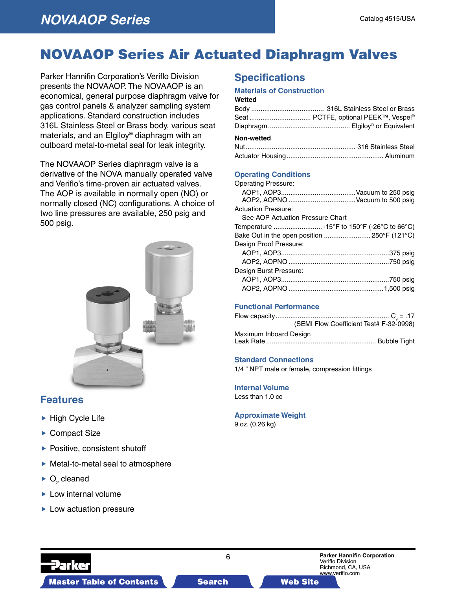## NOVAAOP Series Air Actuated Diaphragm Valves

Parker Hannifin Corporation's Veriflo Division presents the NOVAAOP. The NOVAAOP is an economical, general purpose diaphragm valve for gas control panels & analyzer sampling system applications. Standard construction includes 316L Stainless Steel or Brass body, various seat materials, and an Elgiloy® diaphragm with an outboard metal-to-metal seal for leak integrity.

The NOVAAOP Series diaphragm valve is a derivative of the NOVA manually operated valve and Veriflo's time-proven air actuated valves. The AOP is available in normally open (NO) or normally closed (NC) configurations. A choice of two line pressures are available, 250 psig and 500 psig.



### **Features**

- $\blacktriangleright$  High Cycle Life
- ▶ Compact Size
- $\blacktriangleright$  Positive, consistent shutoff
- ▶ Metal-to-metal seal to atmosphere
- $\triangleright$  O<sub>2</sub> cleaned
- $\blacktriangleright$  Low internal volume
- $\blacktriangleright$  Low actuation pressure

### **Specifications**

#### **Materials of Construction**

|            | Seat  PCTFE, optional PEEK™, Vespel® |
|------------|--------------------------------------|
|            |                                      |
| Non-wetted |                                      |
|            |                                      |

#### **Operating Conditions**

| <b>Operating Pressure:</b>                   |  |
|----------------------------------------------|--|
|                                              |  |
|                                              |  |
| <b>Actuation Pressure:</b>                   |  |
| See AOP Actuation Pressure Chart             |  |
|                                              |  |
| Bake Out in the open position  250°F (121°C) |  |
| Design Proof Pressure:                       |  |
|                                              |  |
|                                              |  |
| Design Burst Pressure:                       |  |
|                                              |  |
|                                              |  |

#### **Functional Performance**

|                        | (SEMI Flow Coefficient Test# F-32-0998) |  |
|------------------------|-----------------------------------------|--|
| Maximum Inboard Design |                                         |  |
|                        |                                         |  |

#### **Standard Connections**

1/4 " NPT male or female, compression fittings

#### **Internal Volume** Less than 1.0 cc

#### **Approximate Weight**

9 oz. (0.26 kg)



Master Table of Contents **3-D Drawings Search Master Table of Contents 3-D Drawings Search Master Table of Contents 3-D Drawings Search Master Table of Contents 3-D Drawings Search Master Table of Contents 3-D Drawings Sea**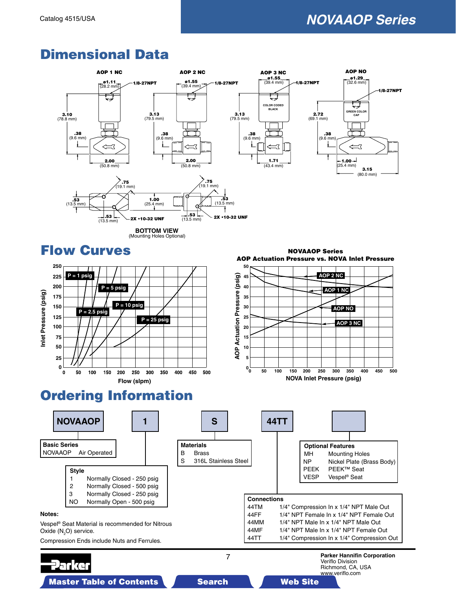



AOP Actuation Pressure vs. NOVA Inlet Pressure



## Ordering Information

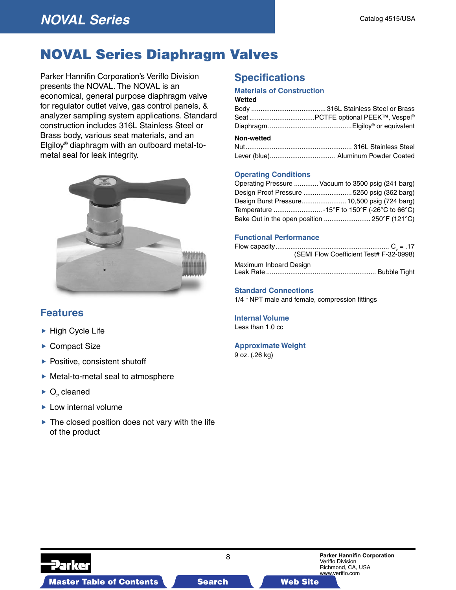### NOVAL Series Diaphragm Valves

Parker Hannifin Corporation's Veriflo Division presents the NOVAL. The NOVAL is an economical, general purpose diaphragm valve for regulator outlet valve, gas control panels, & analyzer sampling system applications. Standard construction includes 316L Stainless Steel or Brass body, various seat materials, and an Elgiloy® diaphragm with an outboard metal-tometal seal for leak integrity.



### **Features**

- ▶ High Cycle Life
- ▶ Compact Size
- $\blacktriangleright$  Positive, consistent shutoff
- Metal-to-metal seal to atmosphere
- $\triangleright$  O<sub>2</sub> cleaned
- $\blacktriangleright$  Low internal volume
- $\blacktriangleright$  The closed position does not vary with the life of the product

### **Specifications**

### **Materials of Construction**

#### **Wetted**

| $Mon$ wattad |  |
|--------------|--|

#### **Non-wetted**

#### **Operating Conditions**

| Operating Pressure  Vacuum to 3500 psig (241 barg) |
|----------------------------------------------------|
| Design Proof Pressure  5250 psig (362 barg)        |
| Design Burst Pressure 10,500 psig (724 barg)       |
| Temperature  -15°F to 150°F (-26°C to 66°C)        |
| Bake Out in the open position  250°F (121°C)       |

#### **Functional Performance**

|                        | (SEMI Flow Coefficient Test# F-32-0998) |  |
|------------------------|-----------------------------------------|--|
| Maximum Inboard Design |                                         |  |

#### Leak Rate ........................................................... Bubble Tight

#### **Standard Connections**

1/4 " NPT male and female, compression fittings

#### **Internal Volume**

Less than 1.0 cc

#### **Approximate Weight**

9 oz. (.26 kg)

8 **Parker Hannifin Corporation** Veriflo Division Richmond, CA, USA www.veriflo.com Master Table of Contents **3-D Drawings Search Master Table of Contents 3-D Drawings Search Master Table of Contents 3-D Drawings Search Master Table of Contents 3-D Drawings Search Master Table of Contents 3-D Drawings Sea**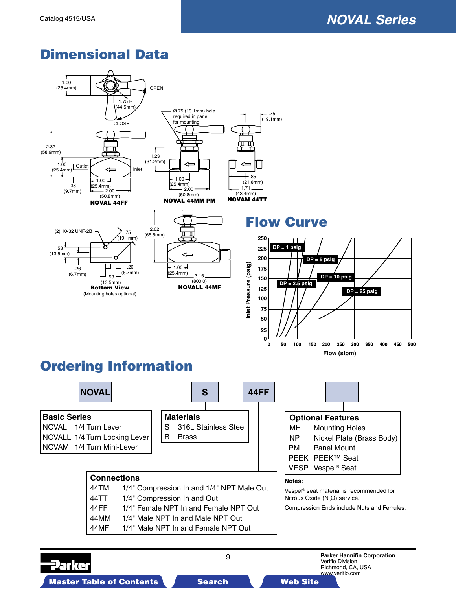

Master Table of Contents **3-D Drawings Search Master Table of Contents 3-D Drawings Search Master Table of Contents 3-D Drawings Search Master Table of Contents 3-D Drawings Search Master Table of Contents 3-D Drawings Sea** 

2arka

Veriflo Division Richmond, CA, USA www.veriflo.com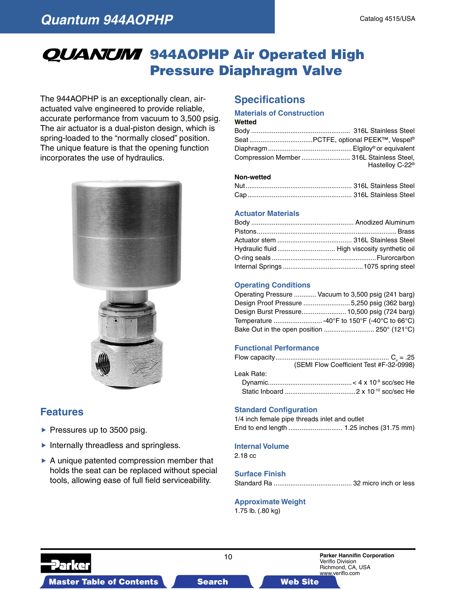## QUANUM 944AOPHP Air Operated High Pressure Diaphragm Valve

The 944AOPHP is an exceptionally clean, airactuated valve engineered to provide reliable, accurate performance from vacuum to 3,500 psig. The air actuator is a dual-piston design, which is spring-loaded to the "normally closed" position. The unique feature is that the opening function incorporates the use of hydraulics.





### **Features**

- $\blacktriangleright$  Pressures up to 3500 psig.
- $\blacktriangleright$  Internally threadless and springless.
- $\triangleright$  A unique patented compression member that holds the seat can be replaced without special tools, allowing ease of full field serviceability.

### **Specifications**

#### **Materials of Construction**

#### **Wetted**

| Compression Member  316L Stainless Steel, |
|-------------------------------------------|
| Hastelloy C-22 <sup>®</sup>               |

#### **Non-wetted**

#### **Actuator Materials**

#### **Operating Conditions**

| Operating Pressure  Vacuum to 3,500 psig (241 barg) |
|-----------------------------------------------------|
| Design Proof Pressure 5,250 psig (362 barg)         |
| Design Burst Pressure 10,500 psig (724 barg)        |
| Temperature  -40°F to 150°F (-40°C to 66°C)         |
| Bake Out in the open position  250° (121°C)         |

#### **Functional Performance**

|            | (SEMI Flow Coefficient Test #F-32-0998) |
|------------|-----------------------------------------|
| Leak Rate: |                                         |
|            |                                         |
|            |                                         |

#### **Standard Configuration**

1/4 inch female pipe threads inlet and outlet End to end length ............................. 1.25 inches (31.75 mm)

#### **Internal Volume**

2.18 cc

#### **Surface Finish**

|--|--|--|--|--|--|

#### **Approximate Weight** 1.75 lb. (.80 kg)

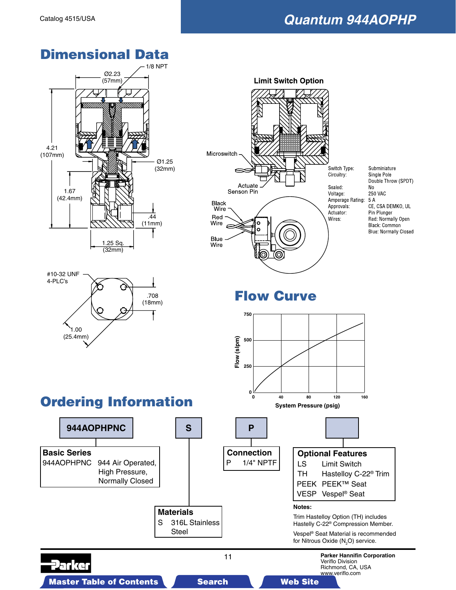Switch Type: Circuitry:

Amperage Rating:

Sealed:

Voltage:

Approvals:

Actuator:

Wires:

Subminiature

CE, CSA DEMKO, UL

Red: Normally Open

**Blue: Normally Closed** 

Black: Common

Single Pole Double Throw (SPDT)

**250 VAC** 

Pin Plunger

**No** 

5 A











Flow Curve

**Limit Switch Option** 

**0 40 80 120 160**

**System Pressure (psig)**

**750**

**500**

**250**

**Flow (slpm)**

Flow (slpm)

Microswitch

**Black** 

Red

Wire

Blue Wire

Wire

Actuate<br>Senson Pin

o Ó

**0**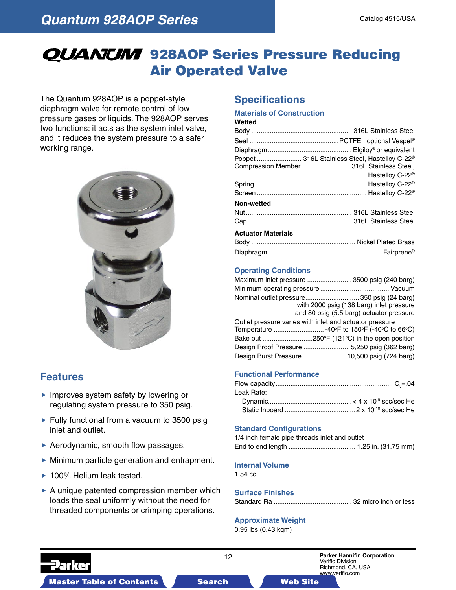## **QUANUM** 928AOP Series Pressure Reducing Air Operated Valve

The Quantum 928AOP is a poppet-style diaphragm valve for remote control of low pressure gases or liquids. The 928AOP serves two functions: it acts as the system inlet valve, and it reduces the system pressure to a safer working range.



### **Features**

- Improves system safety by lowering or regulating system pressure to 350 psig.
- $\blacktriangleright$  Fully functional from a vacuum to 3500 psig inlet and outlet.
- ▶ Aerodynamic, smooth flow passages.
- Minimum particle generation and entrapment.
- ▶ 100% Helium leak tested.
- $\triangleright$  A unique patented compression member which loads the seal uniformly without the need for threaded components or crimping operations.

### **Specifications**

#### **Materials of Construction Wetted**

|                    | Poppet  316L Stainless Steel, Hastelloy C-22 <sup>®</sup><br>Compression Member  316L Stainless Steel, |
|--------------------|--------------------------------------------------------------------------------------------------------|
|                    | Hastelloy C-22 <sup>®</sup>                                                                            |
|                    |                                                                                                        |
|                    |                                                                                                        |
| Non-wetted         |                                                                                                        |
|                    |                                                                                                        |
|                    |                                                                                                        |
| Actuator Materiale |                                                                                                        |

#### **Actuator Materials**

### **Operating Conditions**

| Maximum inlet pressure  3500 psig (240 barg)            |
|---------------------------------------------------------|
|                                                         |
|                                                         |
| with 2000 psig (138 barg) inlet pressure                |
| and 80 psig (5.5 barg) actuator pressure                |
| Outlet pressure varies with inlet and actuator pressure |
| Temperature  -40°F to 150°F (-40°C to 66°C)             |
|                                                         |
| Design Proof Pressure 5,250 psig (362 barg)             |
| Design Burst Pressure 10,500 psig (724 barg)            |
|                                                         |

#### **Functional Performance**

| Leak Rate: |  |
|------------|--|
|            |  |
|            |  |

#### **Standard Configurations**

| 1/4 inch female pipe threads inlet and outlet |  |  |
|-----------------------------------------------|--|--|
|                                               |  |  |

#### **Internal Volume**

1.54 cc

#### **Surface Finishes**

Standard Ra .......................................... 32 micro inch or less

#### **Approximate Weight**

0.95 lbs (0.43 kgm)

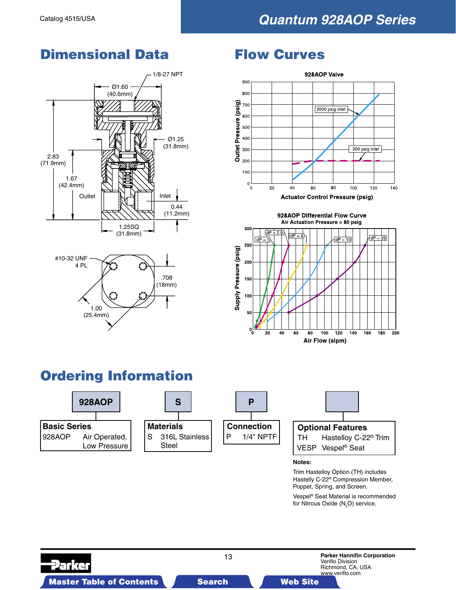



### Flow Curves



928AOP Differential Flow Curve



## Ordering Information



Vespel® Seat Material is recommended for Nitrous Oxide (N<sub>2</sub>O) service.

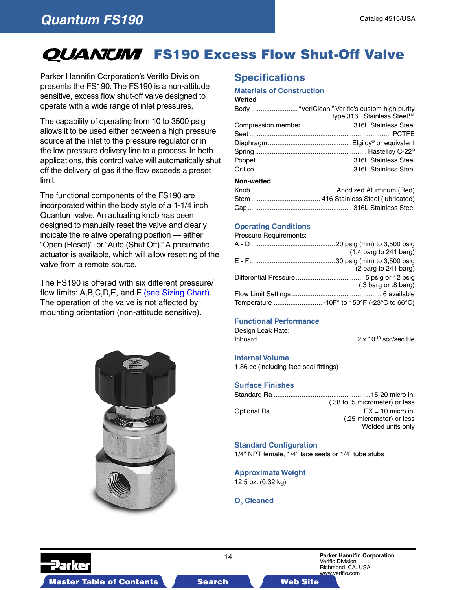### **Quantum FS190**

## **OUANUM** FS190 Excess Flow Shut-Off Valve

Parker Hannifin Corporation's Veriflo Division presents the FS190. The FS190 is a non-attitude sensitive, excess flow shut-off valve designed to operate with a wide range of inlet pressures.

The capability of operating from 10 to 3500 psig allows it to be used either between a high pressure source at the inlet to the pressure regulator or in the low pressure delivery line to a process. In both applications, this control valve will automatically shut off the delivery of gas if the flow exceeds a preset limit.

The functional components of the FS190 are incorporated within the body style of a 1-1/4 inch Quantum valve. An actuating knob has been designed to manually reset the valve and clearly indicate the relative operating position — either "Open (Reset)" or "Auto (Shut Off)." A pneumatic actuator is available, which will allow resetting of the valve from a remote source.

The FS190 is offered with six different pressure/ flow limits: A,B,C,D,E, and [F \(see Sizing Chart\).](#page-14-0)  The operation of the valve is not affected by mounting orientation (non-attitude sensitive).



### **Specifications**

#### **Materials of Construction**

#### **Wetted**

|            | Body  "VeriClean," Veriflo's custom high purity |
|------------|-------------------------------------------------|
|            | type 316L Stainless Steel™                      |
|            | Compression member 316L Stainless Steel         |
|            |                                                 |
|            |                                                 |
|            |                                                 |
|            |                                                 |
|            |                                                 |
| Non-wetted |                                                 |
|            |                                                 |

#### **Operating Conditions**

Pressure Requirements:

|                                             | $(1.4 \text{ barg to } 241 \text{ barg})$ |
|---------------------------------------------|-------------------------------------------|
|                                             |                                           |
|                                             | (2 barg to 241 barg)                      |
|                                             |                                           |
|                                             | (.3 barg or .8 barg)                      |
|                                             |                                           |
| Temperature  -10F° to 150°F (-23°C to 66°C) |                                           |
|                                             |                                           |

#### **Functional Performance**

Design Leak Rate: Inboard .......................................................2 x 10-10 scc/sec He

#### **Internal Volume**

1.86 cc (including face seal fittings)

#### **Surface Finishes**

| (.38 to .5 micrometer) or less |
|--------------------------------|
|                                |
| (.25 micrometer) or less       |
| Welded units only              |

#### **Standard Configuration**

1/4" NPT female, 1/4" face seals or 1/4" tube stubs

**Approximate Weight** 12.5 oz. (0.32 kg)

### **O<sub>2</sub>** Cleaned

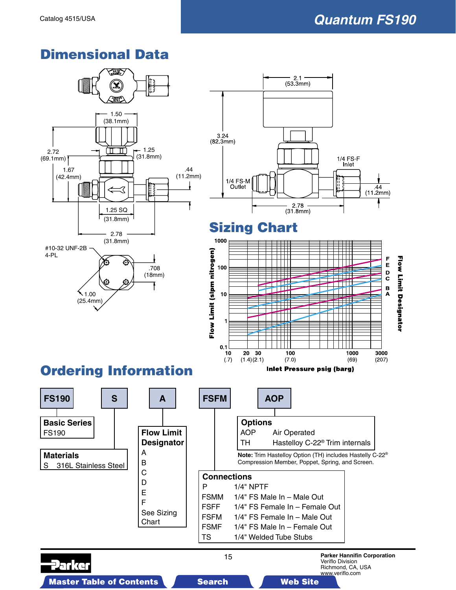1/4 FS-F Inlet

Ш

TTT

TH

 $\Box$ 

1000

 $(69)$ 

44

 $(11.2mm)$ 

**Flow Limit Designator** 

F

E

 $\mathbf{D}$ 

 $\mathbf{B}$ <br> $\mathbf{A}$ 

3000

 $(207)$ 

## <span id="page-14-0"></span>Dimensional Data